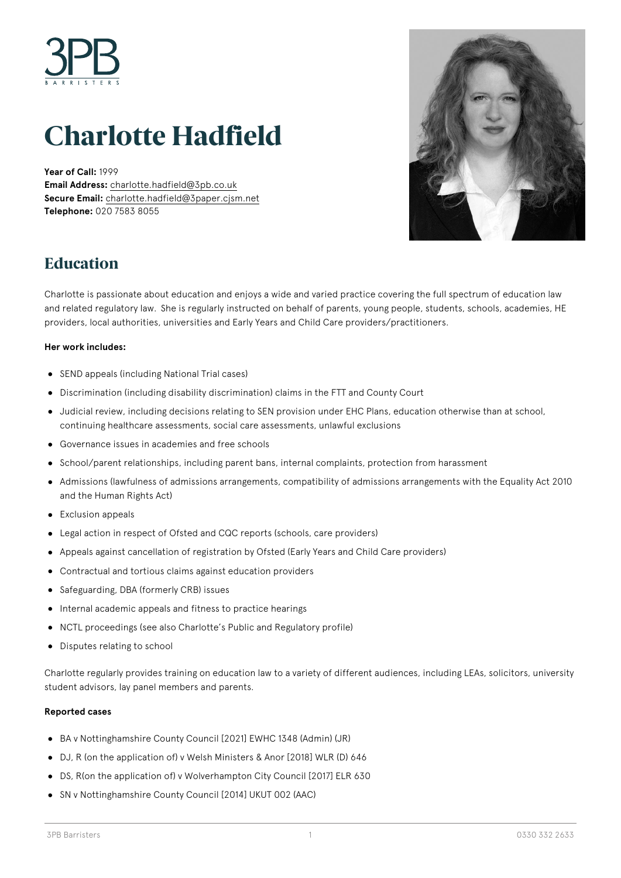

# **Charlotte Hadfield**

**Year of Call:** 1999 **Email Address:** [charlotte.hadfield@3pb.co.uk](mailto:charlotte.hadfield@3pb.co.uk) **Secure Email:** [charlotte.hadfield@3paper.cjsm.net](mailto:charlotte.hadfield@3paper.cjsm.net) **Telephone:** 020 7583 8055



### **Education**

Charlotte is passionate about education and enjoys a wide and varied practice covering the full spectrum of education law and related regulatory law.  She is regularly instructed on behalf of parents, young people, students, schools, academies, HE providers, local authorities, universities and Early Years and Child Care providers/practitioners.

#### **Her work includes:**

- SEND appeals (including National Trial cases)
- Discrimination (including disability discrimination) claims in the FTT and County Court
- Judicial review, including decisions relating to SEN provision under EHC Plans, education otherwise than at school, continuing healthcare assessments, social care assessments, unlawful exclusions
- Governance issues in academies and free schools
- School/parent relationships, including parent bans, internal complaints, protection from harassment
- Admissions (lawfulness of admissions arrangements, compatibility of admissions arrangements with the Equality Act 2010 and the Human Rights Act)
- Exclusion appeals
- Legal action in respect of Ofsted and CQC reports (schools, care providers)
- Appeals against cancellation of registration by Ofsted (Early Years and Child Care providers)
- Contractual and tortious claims against education providers
- Safeguarding, DBA (formerly CRB) issues
- $\bullet$  Internal academic appeals and fitness to practice hearings
- NCTL proceedings (see also Charlotte's Public and Regulatory profile)
- Disputes relating to school

Charlotte regularly provides training on education law to a variety of different audiences, including LEAs, solicitors, university student advisors, lay panel members and parents.

#### **Reported cases**

- BA v Nottinghamshire County Council [2021] EWHC 1348 (Admin) (JR)
- DJ, R (on the application of) v Welsh Ministers & Anor [2018] WLR (D) 646
- DS, R(on the application of) v Wolverhampton City Council [2017] ELR 630
- SN v Nottinghamshire County Council [2014] UKUT 002 (AAC)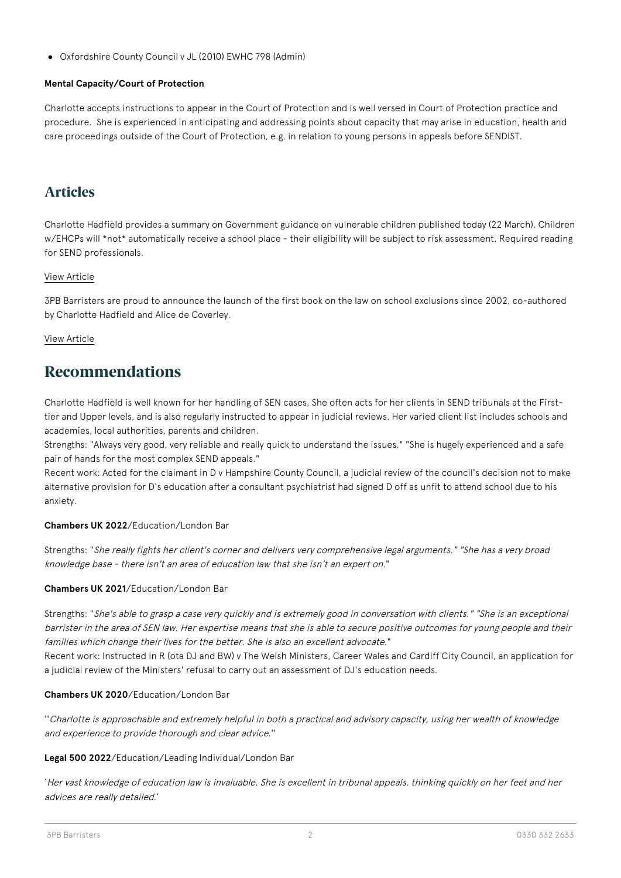Oxfordshire County Council v JL (2010) EWHC 798 (Admin)

### **Mental Capacity/Court of Protection**

Charlotte accepts instructions to appear in the Court of Protection and is well versed in Court of Protection practice and procedure. She is experienced in anticipating and addressing points about capacity that may arise in education, health and care proceedings outside of the Court of Protection, e.g. in relation to young persons in appeals before SENDIST.

### **Articles**

Charlotte Hadfield provides a summary on Government guidance on vulnerable children published today (22 March). Children w/EHCPs will \*not\* automatically receive a school place - their eligibility will be subject to risk assessment. Required reading for SEND professionals.

### [View Article](https://www.3pb.co.uk/content/uploads/Who-are-vunerable-children-and-young-people-under-the-Coronavirus-Bill-by-3PB-Barristers.pdf)

3PB Barristers are proud to announce the launch of the first book on the law on school exclusions since 2002, co-authored by Charlotte Hadfield and Alice de Coverley.

### [View Article](https://www.3pb.co.uk/content/uploads/The-Law-in-Relation-to-School-Exclusions-Book-Launch-by-3PB-Barristers.pdf)

### **Recommendations**

Charlotte Hadfield is well known for her handling of SEN cases. She often acts for her clients in SEND tribunals at the Firsttier and Upper levels, and is also regularly instructed to appear in judicial reviews. Her varied client list includes schools and academies, local authorities, parents and children.

Strengths: "Always very good, very reliable and really quick to understand the issues." "She is hugely experienced and a safe pair of hands for the most complex SEND appeals."

Recent work: Acted for the claimant in D v Hampshire County Council, a judicial review of the council's decision not to make alternative provision for D's education after a consultant psychiatrist had signed D off as unfit to attend school due to his anxiety.

### **Chambers UK 2022**/Education/London Bar

Strengths: "She really fights her client's corner and delivers very comprehensive legal arguments." "She has a very broad knowledge base - there isn't an area of education law that she isn't an expert on."

### **Chambers UK 2021**/Education/London Bar

Strengths: "She's able to grasp a case very quickly and is extremely good in conversation with clients." "She is an exceptional barrister in the area of SEN law. Her expertise means that she is able to secure positive outcomes for young people and their families which change their lives for the better. She is also an excellent advocate."

Recent work: Instructed in R (ota DJ and BW) v The Welsh Ministers, Career Wales and Cardiff City Council, an application for a judicial review of the Ministers' refusal to carry out an assessment of DJ's education needs.

### **Chambers UK 2020**/Education/London Bar

''Charlotte is approachable and extremely helpful in both a practical and advisory capacity, using her wealth of knowledge and experience to provide thorough and clear advice.''

### **Legal 500 2022**/Education/Leading Individual/London Bar

'Her vast knowledge of education law is invaluable. She is excellent in tribunal appeals, thinking quickly on her feet and her advices are really detailed.'